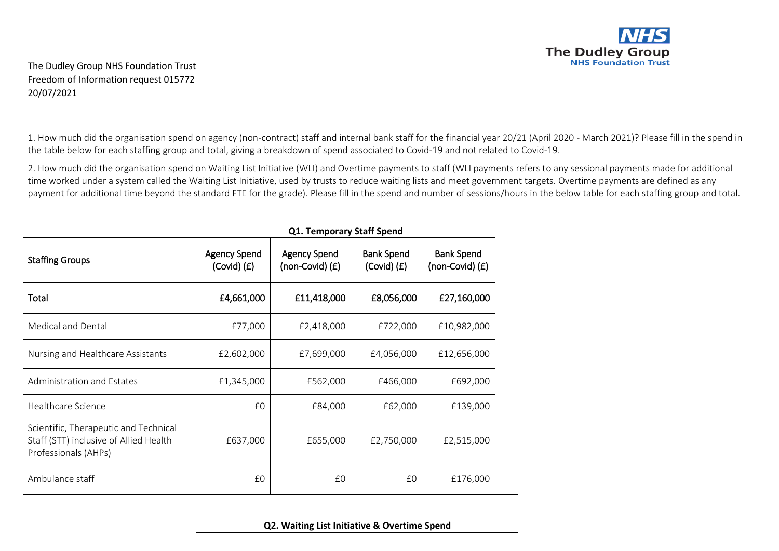

The Dudley Group NHS Foundation Trust Freedom of Information request 015772 20/07/2021

1. How much did the organisation spend on agency (non-contract) staff and internal bank staff for the financial year 20/21 (April 2020 - March 2021)? Please fill in the spend in the table below for each staffing group and total, giving a breakdown of spend associated to Covid-19 and not related to Covid-19.

2. How much did the organisation spend on Waiting List Initiative (WLI) and Overtime payments to staff (WLI payments refers to any sessional payments made for additional time worked under a system called the Waiting List Initiative, used by trusts to reduce waiting lists and meet government targets. Overtime payments are defined as any payment for additional time beyond the standard FTE for the grade). Please fill in the spend and number of sessions/hours in the below table for each staffing group and total.

|                                                                                                         | Q1. Temporary Staff Spend              |                                        |                                      |                                      |  |
|---------------------------------------------------------------------------------------------------------|----------------------------------------|----------------------------------------|--------------------------------------|--------------------------------------|--|
| <b>Staffing Groups</b>                                                                                  | <b>Agency Spend</b><br>$(Covid)$ $(E)$ | <b>Agency Spend</b><br>(non-Covid) (£) | <b>Bank Spend</b><br>$(Covid)$ $(E)$ | <b>Bank Spend</b><br>(non-Covid) (£) |  |
| Total                                                                                                   | £4,661,000                             | £11,418,000                            | £8,056,000                           | £27,160,000                          |  |
| Medical and Dental                                                                                      | £77,000                                | £2,418,000                             | £722,000                             | £10,982,000                          |  |
| Nursing and Healthcare Assistants                                                                       | £2,602,000                             | £7,699,000                             | £4,056,000                           | £12,656,000                          |  |
| Administration and Estates                                                                              | £1,345,000                             | £562,000                               | £466,000                             | £692,000                             |  |
| Healthcare Science                                                                                      | £0                                     | £84,000                                | £62,000                              | £139,000                             |  |
| Scientific, Therapeutic and Technical<br>Staff (STT) inclusive of Allied Health<br>Professionals (AHPs) | £637,000                               | £655,000                               | £2,750,000                           | £2,515,000                           |  |
| Ambulance staff                                                                                         | £0                                     | £0                                     | £0                                   | £176,000                             |  |

**Q2. Waiting List Initiative & Overtime Spend**